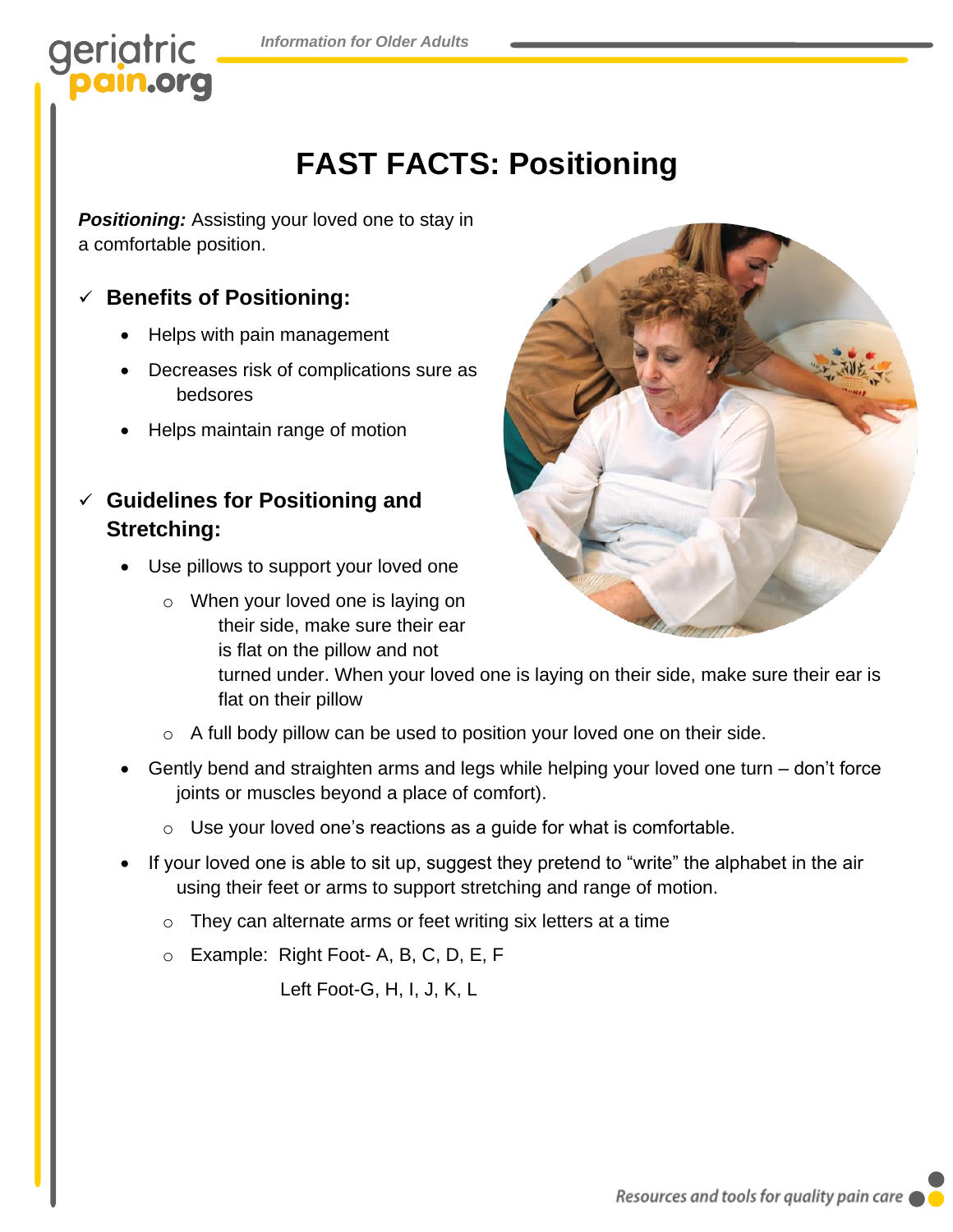# geriatric

## **FAST FACTS: Positioning**

**Positioning:** Assisting your loved one to stay in a comfortable position.

### ✓ **Benefits of Positioning:**

- Helps with pain management
- Decreases risk of complications sure as bedsores
- Helps maintain range of motion
- ✓ **Guidelines for Positioning and Stretching:**
	- Use pillows to support your loved one
		- o When your loved one is laying on their side, make sure their ear is flat on the pillow and not



turned under. When your loved one is laying on their side, make sure their ear is flat on their pillow

- o A full body pillow can be used to position your loved one on their side.
- Gently bend and straighten arms and legs while helping your loved one turn don't force joints or muscles beyond a place of comfort).
	- $\circ$  Use your loved one's reactions as a guide for what is comfortable.
- If your loved one is able to sit up, suggest they pretend to "write" the alphabet in the air using their feet or arms to support stretching and range of motion.
	- $\circ$  They can alternate arms or feet writing six letters at a time
	- o Example: Right Foot- A, B, C, D, E, F

Left Foot-G, H, I, J, K, L